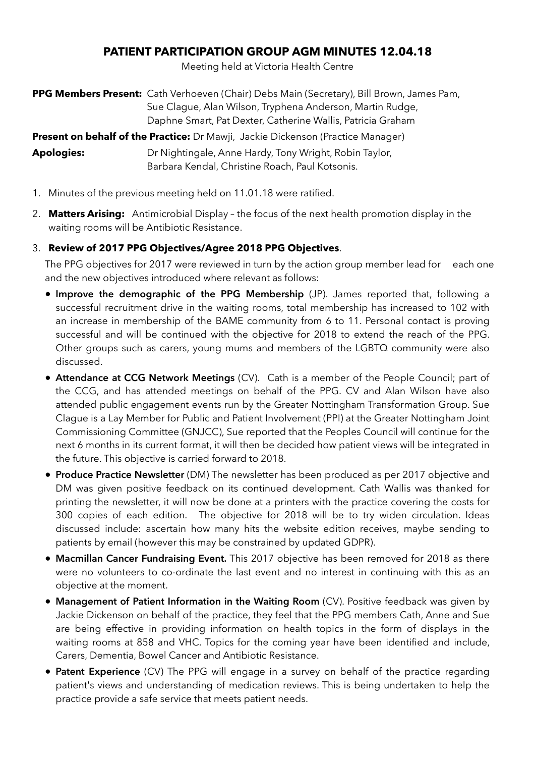## **PATIENT PARTICIPATION GROUP AGM MINUTES 12.04.18**

Meeting held at Victoria Health Centre

**PPG Members Present:** Cath Verhoeven (Chair) Debs Main (Secretary), Bill Brown, James Pam, Sue Clague, Alan Wilson, Tryphena Anderson, Martin Rudge, Daphne Smart, Pat Dexter, Catherine Wallis, Patricia Graham

**Present on behalf of the Practice:** Dr Mawji, Jackie Dickenson (Practice Manager)

**Apologies:** Dr Nightingale, Anne Hardy, Tony Wright, Robin Taylor, Barbara Kendal, Christine Roach, Paul Kotsonis.

- 1. Minutes of the previous meeting held on 11.01.18 were ratified.
- 2. **Matters Arising:** Antimicrobial Display the focus of the next health promotion display in the waiting rooms will be Antibiotic Resistance.

### 3. **Review of 2017 PPG Objectives/Agree 2018 PPG Objectives**.

The PPG objectives for 2017 were reviewed in turn by the action group member lead for each one and the new objectives introduced where relevant as follows:

- **Improve the demographic of the PPG Membership** (JP). James reported that, following a successful recruitment drive in the waiting rooms, total membership has increased to 102 with an increase in membership of the BAME community from 6 to 11. Personal contact is proving successful and will be continued with the objective for 2018 to extend the reach of the PPG. Other groups such as carers, young mums and members of the LGBTQ community were also discussed.
- **Attendance at CCG Network Meetings** (CV). Cath is a member of the People Council; part of the CCG, and has attended meetings on behalf of the PPG. CV and Alan Wilson have also attended public engagement events run by the Greater Nottingham Transformation Group. Sue Clague is a Lay Member for Public and Patient Involvement (PPI) at the Greater Nottingham Joint Commissioning Committee (GNJCC), Sue reported that the Peoples Council will continue for the next 6 months in its current format, it will then be decided how patient views will be integrated in the future. This objective is carried forward to 2018.
- **Produce Practice Newsletter** (DM) The newsletter has been produced as per 2017 objective and DM was given positive feedback on its continued development. Cath Wallis was thanked for printing the newsletter, it will now be done at a printers with the practice covering the costs for 300 copies of each edition. The objective for 2018 will be to try widen circulation. Ideas discussed include: ascertain how many hits the website edition receives, maybe sending to patients by email (however this may be constrained by updated GDPR).
- **Macmillan Cancer Fundraising Event.** This 2017 objective has been removed for 2018 as there were no volunteers to co-ordinate the last event and no interest in continuing with this as an objective at the moment.
- **Management of Patient Information in the Waiting Room** (CV). Positive feedback was given by Jackie Dickenson on behalf of the practice, they feel that the PPG members Cath, Anne and Sue are being effective in providing information on health topics in the form of displays in the waiting rooms at 858 and VHC. Topics for the coming year have been identified and include, Carers, Dementia, Bowel Cancer and Antibiotic Resistance.
- **• Patent Experience** (CV) The PPG will engage in a survey on behalf of the practice regarding patient's views and understanding of medication reviews. This is being undertaken to help the practice provide a safe service that meets patient needs.